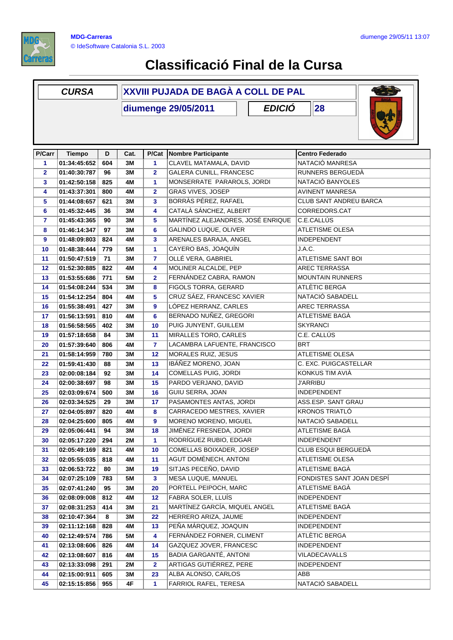

## **Classificació Final de la Cursa**

| <b>CURSA</b>                               |               |     | XXVIII PUJADA DE BAGÀ A COLL DE PAL |                |                                   |                               |  |  |  |
|--------------------------------------------|---------------|-----|-------------------------------------|----------------|-----------------------------------|-------------------------------|--|--|--|
| <b>EDICIÓ</b><br>28<br>diumenge 29/05/2011 |               |     |                                     |                |                                   |                               |  |  |  |
| <b>P/Carr</b>                              | <b>Tiempo</b> | D   | Cat.                                |                | P/Cat Nombre Participante         | <b>Centro Federado</b>        |  |  |  |
| 1                                          | 01:34:45:652  | 604 | 3M                                  | 1              | CLAVEL MATAMALA, DAVID            | NATACIÓ MANRESA               |  |  |  |
| $\mathbf{2}$                               | 01:40:30:787  | 96  | 3M                                  | 2              | GALERA CUNILL, FRANCESC           | RUNNERS BERGUEDA              |  |  |  |
| 3                                          | 01:42:50:158  | 825 | 4M                                  | 1              | MONSERRATE PARAROLS, JORDI        | NATACIÓ BANYOLES              |  |  |  |
| 4                                          | 01:43:37:301  | 800 | 4M                                  | $\overline{2}$ | <b>GRAS VIVES, JOSEP</b>          | <b>AVINENT MANRESA</b>        |  |  |  |
| 5                                          | 01:44:08:657  | 621 | 3M                                  | 3              | BORRÀS PÉREZ, RAFAEL              | <b>CLUB SANT ANDREU BARCA</b> |  |  |  |
| 6                                          | 01:45:32:445  | 36  | 3M                                  | 4              | CATALÀ SÁNCHEZ, ALBERT            | CORREDORS.CAT                 |  |  |  |
| $\overline{7}$                             | 01:45:43:365  | 90  | 3M                                  | 5              | MARTÍNEZ ALEJANDRES, JOSÉ ENRIQUE | C.E.CALLÚS                    |  |  |  |
| 8                                          | 01:46:14:347  | 97  | 3M                                  | 6              | GALINDO LUQUE, OLIVER             | <b>ATLETISME OLESA</b>        |  |  |  |
| 9                                          | 01:48:09:803  | 824 | 4M                                  | 3              | ARENALES BARAJA, ANGEL            | <b>INDEPENDENT</b>            |  |  |  |
| 10                                         | 01:48:38:444  | 779 | 5M                                  | 1              | CAYERO BAS, JOAQUÍN               | J.A.C.                        |  |  |  |
| 11                                         | 01:50:47:519  | 71  | 3M                                  | 7              | OLLÉ VERA, GABRIEL                | <b>ATLETISME SANT BOI</b>     |  |  |  |
| 12                                         | 01:52:30:885  | 822 | 4M                                  | 4              | MOLINER ALCALDE, PEP              | <b>AREC TERRASSA</b>          |  |  |  |
| 13                                         | 01:53:55:686  | 771 | <b>5M</b>                           | $\mathbf{2}$   | FERNÁNDEZ CABRA, RAMON            | <b>MOUNTAIN RUNNERS</b>       |  |  |  |
| 14                                         | 01:54:08:244  | 534 | 3M                                  | 8              | FIGOLS TORRA, GERARD              | ATLÈTIC BERGA                 |  |  |  |
| 15                                         | 01:54:12:254  | 804 | 4M                                  | 5              | CRUZ SÁEZ, FRANCESC XAVIER        | NATACIÓ SABADELL              |  |  |  |
| 16                                         | 01:55:38:491  | 427 | 3M                                  | 9              | LÓPEZ HERRANZ, CARLES             | <b>AREC TERRASSA</b>          |  |  |  |
| 17                                         | 01:56:13:591  | 810 | 4M                                  | 6              | BERNADO NUÑEZ, GREGORI            | ATLETISME BAGÀ                |  |  |  |
| 18                                         | 01:56:58:565  | 402 | 3M                                  | 10             | PUIG JUNYENT, GUILLEM             | <b>SKYRANCI</b>               |  |  |  |
| 19                                         | 01:57:18:658  | 84  | 3M                                  | 11             | MIRALLES TORO, CARLES             | C.E. CALLÚS                   |  |  |  |
| 20                                         | 01:57:39:640  | 806 | 4M                                  | $\overline{7}$ | LACAMBRA LAFUENTE, FRANCISCO      | <b>BRT</b>                    |  |  |  |
| 21                                         | 01:58:14:959  | 780 | 3M                                  | 12             | MORALES RUIZ, JESUS               | <b>ATLETISME OLESA</b>        |  |  |  |
| 22                                         | 01:59:41:430  | 88  | 3M                                  | 13             | IBÁÑEZ MORENO, JOAN               | C. EXC. PUIGCASTELLAR         |  |  |  |
| 23                                         | 02:00:08:184  | 92  | 3M                                  | 14             | COMELLAS PUIG, JORDI              | KONKUS TIM AVIÀ               |  |  |  |
| 24                                         | 02:00:38:697  | 98  | 3M                                  | 15             | PARDO VERJANO, DAVID              | <b>J'ARRIBU</b>               |  |  |  |
| 25                                         | 02:03:09:674  | 500 | 3M                                  | 16             | GUIU SERRA, JOAN                  | <b>INDEPENDENT</b>            |  |  |  |
| 26                                         | 02:03:34:525  | 29  | 3M                                  | 17             | PASAMONTES ANTAS, JORDI           | ASS.ESP. SANT GRAU            |  |  |  |
| 27                                         | 02:04:05:897  | 820 | 4M                                  | 8              | CARRACEDO MESTRES, XAVIER         | <b>KRONOS TRIATLÓ</b>         |  |  |  |
| 28                                         | 02:04:25:600  | 805 | 4M                                  | 9              | MORENO MORENO, MIGUEL             | NATACIÓ SABADELL              |  |  |  |
| 29                                         | 02:05:06:441  | 94  | ЗM                                  | 18             | JIMÉNEZ FRESNEDA, JORDI           | ATLETISME BAGÀ                |  |  |  |
| 30                                         | 02:05:17:220  | 294 | 2M                                  | 1.             | RODRÍGUEZ RUBIO, EDGAR            | <b>INDEPENDENT</b>            |  |  |  |
| 31                                         | 02:05:49:169  | 821 | 4M                                  | 10             | COMELLAS BOIXADER, JOSEP          | <b>CLUB ESQUI BERGUEDA</b>    |  |  |  |
| 32                                         | 02:05:55:035  | 818 | 4M                                  | 11             | AGUT DOMÈNECH, ANTONI             | ATLETISME OLESA               |  |  |  |
| 33                                         | 02:06:53:722  | 80  | 3M                                  | 19             | SITJAS PECEÑO, DAVID              | ATLETISME BAGÀ                |  |  |  |
| 34                                         | 02:07:25:109  | 783 | 5M                                  | 3              | MESA LUQUE, MANUEL                | FONDISTES SANT JOAN DESPÍ     |  |  |  |
| 35                                         | 02:07:41:240  | 95  | 3M                                  | 20             | PORTELL PEIPOCH, MARC             | ATLETISME BAGÀ                |  |  |  |
| 36                                         | 02:08:09:008  | 812 | 4M                                  | 12             | FABRA SOLER, LLUÍS                | <b>INDEPENDENT</b>            |  |  |  |
| 37                                         | 02:08:31:253  | 414 | 3M                                  | 21             | MARTÍNEZ GARCÍA, MIQUEL ANGEL     | ATLETISME BAGÀ                |  |  |  |
| 38                                         | 02:10:47:364  | 8   | 3M                                  | 22             | HERRERO ARIZA, JAUME              | <b>INDEPENDENT</b>            |  |  |  |
| 39                                         | 02:11:12:168  | 828 | 4M                                  | 13             | PEÑA MÁRQUEZ, JOAQUIN             | <b>INDEPENDENT</b>            |  |  |  |
| 40                                         | 02:12:49:574  | 786 | 5M                                  | 4              | FERNÁNDEZ FORNER, CLIMENT         | ATLÈTIC BERGA                 |  |  |  |
| 41                                         | 02:13:08:606  | 826 | 4M                                  | 14             | <b>GAZQUEZ JOVER, FRANCESC</b>    | <b>INDEPENDENT</b>            |  |  |  |
| 42                                         | 02:13:08:607  | 816 | 4M                                  | 15             | <b>BADIA GARGANTÉ, ANTONI</b>     | VILADECAVALLS                 |  |  |  |
| 43                                         | 02:13:33:098  | 291 | 2M                                  | $\mathbf{2}$   | ARTIGAS GUTIÉRREZ, PERE           | <b>INDEPENDENT</b>            |  |  |  |
| 44                                         | 02:15:00:911  | 605 | 3M                                  | 23             | ALBA ALONSO, CARLOS               | ABB                           |  |  |  |
| 45                                         | 02:15:15:856  | 955 | 4F                                  | 1.             | FARRIOL RAFEL, TERESA             | NATACIÓ SABADELL              |  |  |  |